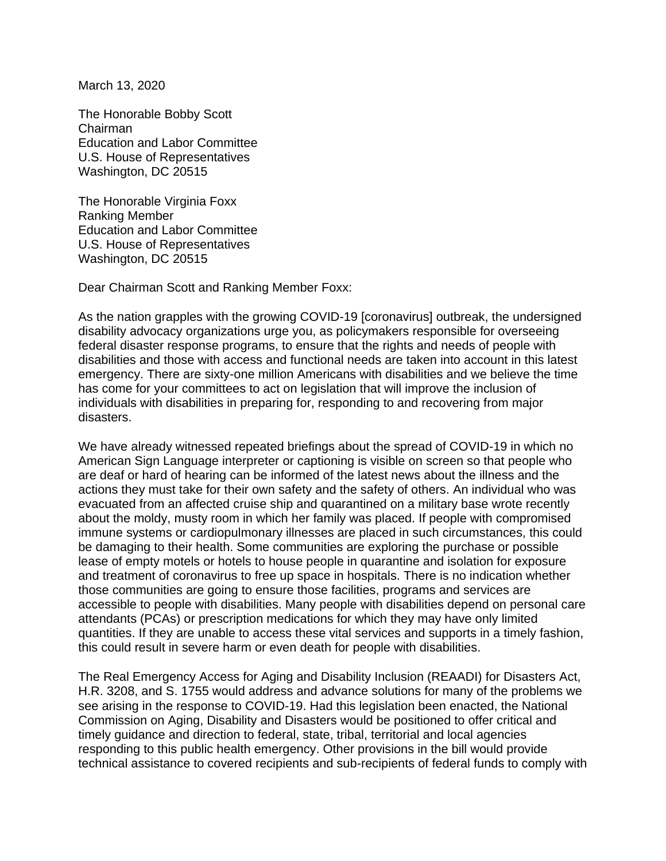March 13, 2020

The Honorable Bobby Scott Chairman Education and Labor Committee U.S. House of Representatives Washington, DC 20515

The Honorable Virginia Foxx Ranking Member Education and Labor Committee U.S. House of Representatives Washington, DC 20515

Dear Chairman Scott and Ranking Member Foxx:

As the nation grapples with the growing COVID-19 [coronavirus] outbreak, the undersigned disability advocacy organizations urge you, as policymakers responsible for overseeing federal disaster response programs, to ensure that the rights and needs of people with disabilities and those with access and functional needs are taken into account in this latest emergency. There are sixty-one million Americans with disabilities and we believe the time has come for your committees to act on legislation that will improve the inclusion of individuals with disabilities in preparing for, responding to and recovering from major disasters.

We have already witnessed repeated briefings about the spread of COVID-19 in which no American Sign Language interpreter or captioning is visible on screen so that people who are deaf or hard of hearing can be informed of the latest news about the illness and the actions they must take for their own safety and the safety of others. An individual who was evacuated from an affected cruise ship and quarantined on a military base wrote recently about the moldy, musty room in which her family was placed. If people with compromised immune systems or cardiopulmonary illnesses are placed in such circumstances, this could be damaging to their health. Some communities are exploring the purchase or possible lease of empty motels or hotels to house people in quarantine and isolation for exposure and treatment of coronavirus to free up space in hospitals. There is no indication whether those communities are going to ensure those facilities, programs and services are accessible to people with disabilities. Many people with disabilities depend on personal care attendants (PCAs) or prescription medications for which they may have only limited quantities. If they are unable to access these vital services and supports in a timely fashion, this could result in severe harm or even death for people with disabilities.

The Real Emergency Access for Aging and Disability Inclusion (REAADI) for Disasters Act, H.R. 3208, and S. 1755 would address and advance solutions for many of the problems we see arising in the response to COVID-19. Had this legislation been enacted, the National Commission on Aging, Disability and Disasters would be positioned to offer critical and timely guidance and direction to federal, state, tribal, territorial and local agencies responding to this public health emergency. Other provisions in the bill would provide technical assistance to covered recipients and sub-recipients of federal funds to comply with